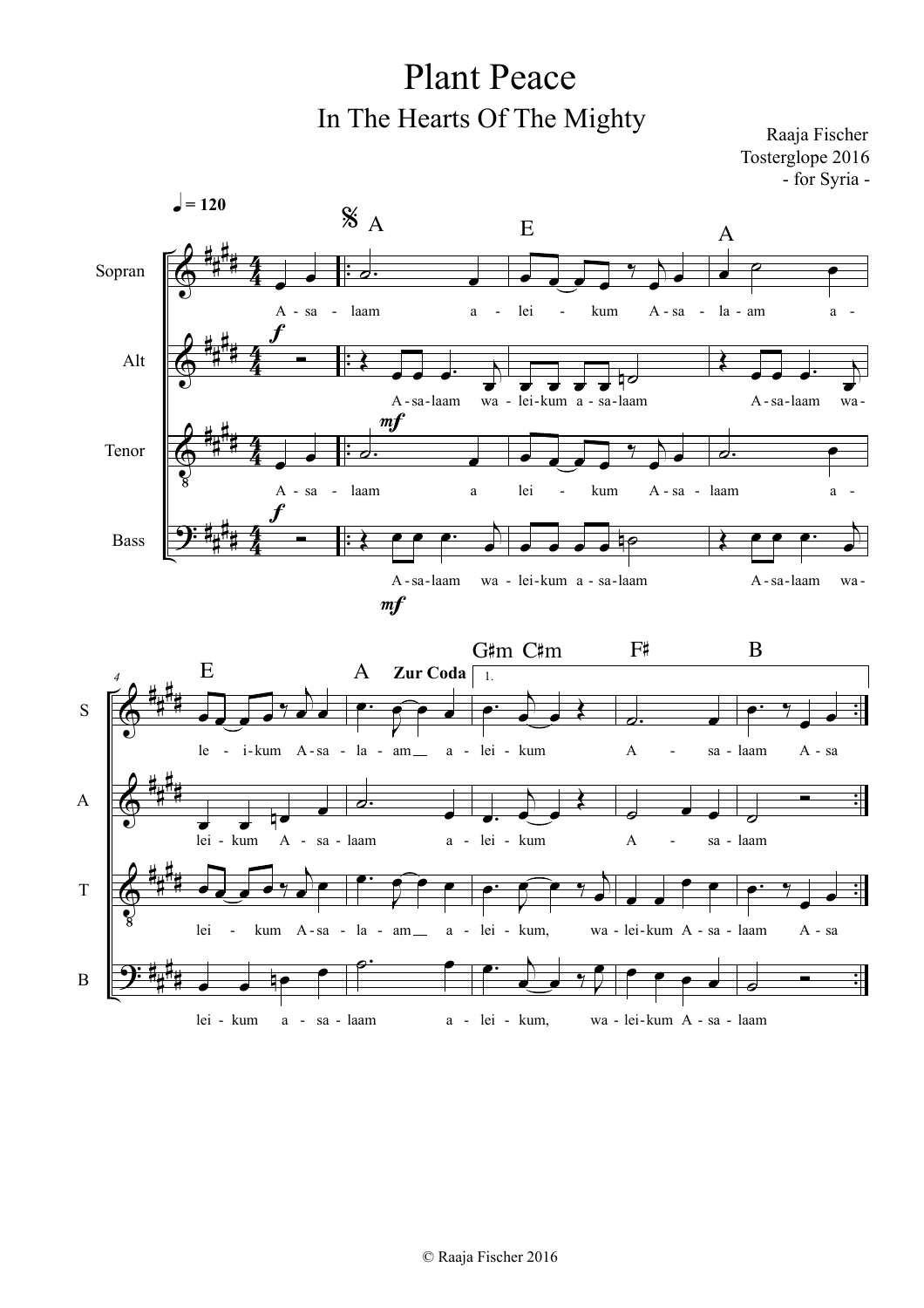Plant Peace In The Hearts Of The Mighty